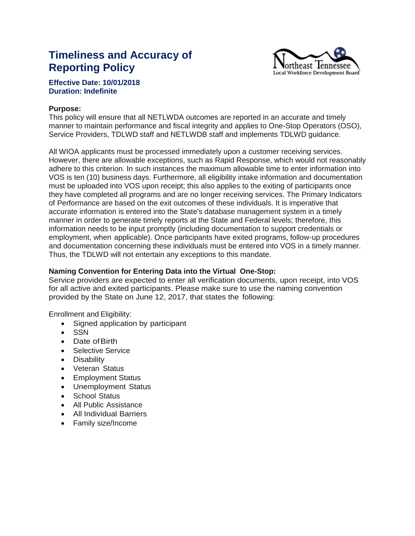# **Timeliness and Accuracy of Reporting Policy**



# **Effective Date: 10/01/2018 Duration: Indefinite**

#### **Purpose:**

This policy will ensure that all NETLWDA outcomes are reported in an accurate and timely manner to maintain performance and fiscal integrity and applies to One-Stop Operators (OSO), Service Providers, TDLWD staff and NETLWDB staff and implements TDLWD guidance.

All WIOA applicants must be processed immediately upon a customer receiving services. However, there are allowable exceptions, such as Rapid Response, which would not reasonably adhere to this criterion. In such instances the maximum allowable time to enter information into VOS is ten (10) business days. Furthermore, all eligibility intake information and documentation must be uploaded into VOS upon receipt; this also applies to the exiting of participants once they have completed all programs and are no longer receiving services. The Primary Indicators of Performance are based on the exit outcomes of these individuals. It is imperative that accurate information is entered into the State's database management system in a timely manner in order to generate timely reports at the State and Federal levels; therefore, this information needs to be input promptly (including documentation to support credentials or employment, when applicable). Once participants have exited programs, follow-up procedures and documentation concerning these individuals must be entered into VOS in a timely manner. Thus, the TDLWD will not entertain any exceptions to this mandate.

### **Naming Convention for Entering Data into the Virtual One-Stop:**

Service providers are expected to enter all verification documents, upon receipt, into VOS for all active and exited participants. Please make sure to use the naming convention provided by the State on June 12, 2017, that states the following:

Enrollment and Eligibility:

- Signed application by participant
- SSN
- Date of Birth
- Selective Service
- Disability
- Veteran Status
- Employment Status
- Unemployment Status
- School Status
- All Public Assistance
- All Individual Barriers
- Family size/Income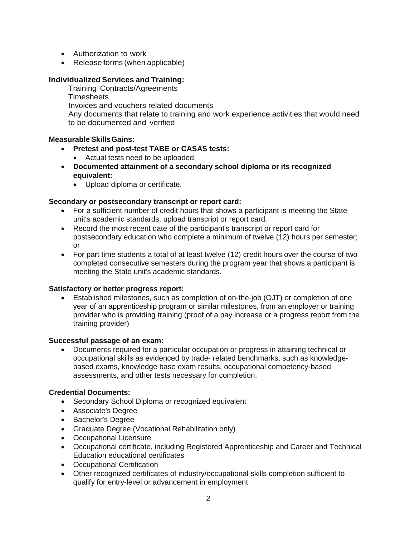- Authorization to work
- Release forms (when applicable)

# **Individualized Services and Training:**

Training Contracts/Agreements **Timesheets** Invoices and vouchers related documents Any documents that relate to training and work experience activities that would need to be documented and verified

# **Measurable SkillsGains:**

- **Pretest and post-test TABE or CASAS tests:**
	- Actual tests need to be uploaded.
- **Documented attainment of a secondary school diploma or its recognized equivalent:**
	- Upload diploma or certificate.

## **Secondary or postsecondary transcript or report card:**

- For a sufficient number of credit hours that shows a participant is meeting the State unit's academic standards, upload transcript or report card.
- Record the most recent date of the participant's transcript or report card for postsecondary education who complete a minimum of twelve (12) hours per semester; or
- For part time students a total of at least twelve (12) credit hours over the course of two completed consecutive semesters during the program year that shows a participant is meeting the State unit's academic standards.

# **Satisfactory or better progress report:**

 Established milestones, such as completion of on-the-job (OJT) or completion of one year of an apprenticeship program or similar milestones, from an employer or training provider who is providing training (proof of a pay increase or a progress report from the training provider)

# **Successful passage of an exam:**

 Documents required for a particular occupation or progress in attaining technical or occupational skills as evidenced by trade- related benchmarks, such as knowledgebased exams, knowledge base exam results, occupational competency-based assessments, and other tests necessary for completion.

#### **Credential Documents:**

- Secondary School Diploma or recognized equivalent
- Associate's Degree
- Bachelor's Degree
- Graduate Degree (Vocational Rehabilitation only)
- Occupational Licensure
- Occupational certificate, including Registered Apprenticeship and Career and Technical Education educational certificates
- Occupational Certification
- Other recognized certificates of industry/occupational skills completion sufficient to qualify for entry-level or advancement in employment